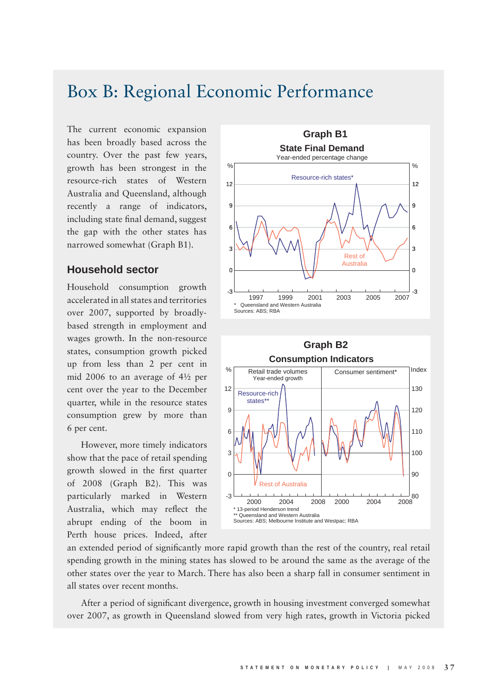## Box B: Regional Economic Performance

The current economic expansion has been broadly based across the country. Over the past few years, growth has been strongest in the resource-rich states of Western Australia and Queensland, although recently a range of indicators, including state final demand, suggest the gap with the other states has narrowed somewhat (Graph B1).

## **Household sector**

Household consumption growth accelerated in all states and territories over 2007, supported by broadlybased strength in employment and wages growth. In the non-resource states, consumption growth picked up from less than 2 per cent in mid 2006 to an average of 4½ per cent over the year to the December quarter, while in the resource states consumption grew by more than 6 per cent.

However, more timely indicators show that the pace of retail spending growth slowed in the first quarter of 2008 (Graph B2). This was particularly marked in Western Australia, which may reflect the abrupt ending of the boom in Perth house prices. Indeed, after



an extended period of significantly more rapid growth than the rest of the country, real retail spending growth in the mining states has slowed to be around the same as the average of the other states over the year to March. There has also been a sharp fall in consumer sentiment in all states over recent months.

After a period of significant divergence, growth in housing investment converged somewhat over 2007, as growth in Queensland slowed from very high rates, growth in Victoria picked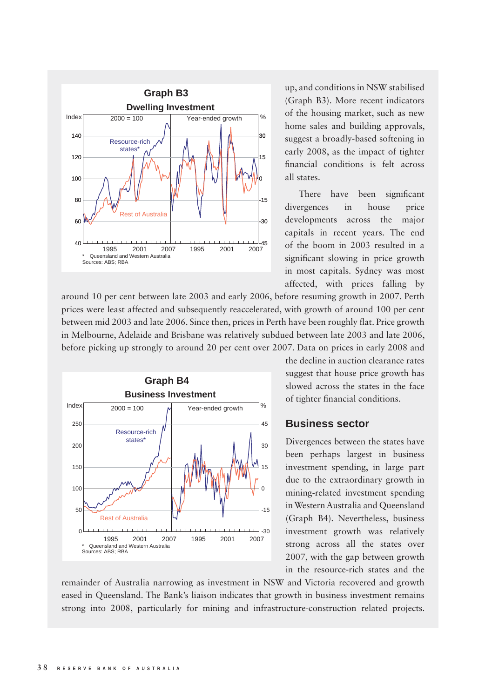

around 10 per cent between late 2003 and early 2006, before resuming growth in 2007. Perth prices were least affected and subsequently reaccelerated, with growth of around 100 per cent between mid 2003 and late 2006. Since then, prices in Perth have been roughly flat. Price growth in Melbourne, Adelaide and Brisbane was relatively subdued between late 2003 and late 2006, before picking up strongly to around 20 per cent over 2007. Data on prices in early 2008 and



up, and conditions in NSW stabilised (Graph B3). More recent indicators of the housing market, such as new home sales and building approvals, suggest a broadly-based softening in early 2008, as the impact of tighter financial conditions is felt across all states.

There have been significant divergences in house price developments across the major capitals in recent years. The end of the boom in 2003 resulted in a significant slowing in price growth in most capitals. Sydney was most affected, with prices falling by

the decline in auction clearance rates suggest that house price growth has slowed across the states in the face of tighter financial conditions.

## **Business sector**

Divergences between the states have been perhaps largest in business investment spending, in large part due to the extraordinary growth in mining-related investment spending in Western Australia and Queensland (Graph B4). Nevertheless, business investment growth was relatively strong across all the states over 2007, with the gap between growth in the resource-rich states and the

remainder of Australia narrowing as investment in NSW and Victoria recovered and growth eased in Queensland. The Bank's liaison indicates that growth in business investment remains strong into 2008, particularly for mining and infrastructure-construction related projects.